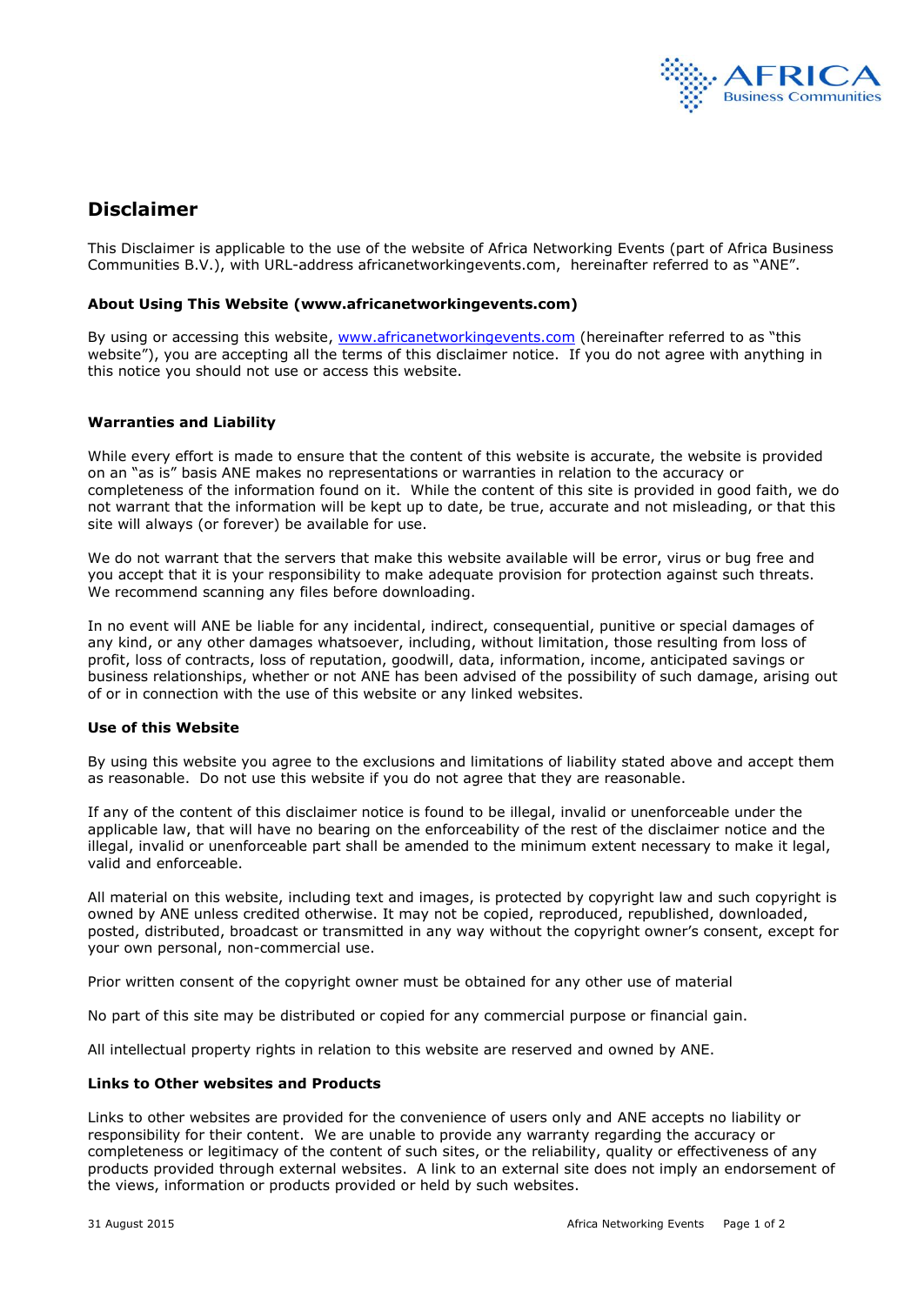

# **Disclaimer**

This Disclaimer is applicable to the use of the website of Africa Networking Events (part of Africa Business Communities B.V.), with URL-address africanetworkingevents.com, hereinafter referred to as "ANE".

## **About Using This Website (www.africanetworkingevents.com)**

By using or accessing this website, [www.africanetworkingevents.com](http://www.africanetworkingevents.com/) (hereinafter referred to as "this website"), you are accepting all the terms of this disclaimer notice. If you do not agree with anything in this notice you should not use or access this website.

# **Warranties and Liability**

While every effort is made to ensure that the content of this website is accurate, the website is provided on an "as is" basis ANE makes no representations or warranties in relation to the accuracy or completeness of the information found on it. While the content of this site is provided in good faith, we do not warrant that the information will be kept up to date, be true, accurate and not misleading, or that this site will always (or forever) be available for use.

We do not warrant that the servers that make this website available will be error, virus or bug free and you accept that it is your responsibility to make adequate provision for protection against such threats. We recommend scanning any files before downloading.

In no event will ANE be liable for any incidental, indirect, consequential, punitive or special damages of any kind, or any other damages whatsoever, including, without limitation, those resulting from loss of profit, loss of contracts, loss of reputation, goodwill, data, information, income, anticipated savings or business relationships, whether or not ANE has been advised of the possibility of such damage, arising out of or in connection with the use of this website or any linked websites.

#### **Use of this Website**

By using this website you agree to the exclusions and limitations of liability stated above and accept them as reasonable. Do not use this website if you do not agree that they are reasonable.

If any of the content of this disclaimer notice is found to be illegal, invalid or unenforceable under the applicable law, that will have no bearing on the enforceability of the rest of the disclaimer notice and the illegal, invalid or unenforceable part shall be amended to the minimum extent necessary to make it legal, valid and enforceable.

All material on this website, including text and images, is protected by copyright law and such copyright is owned by ANE unless credited otherwise. It may not be copied, reproduced, republished, downloaded, posted, distributed, broadcast or transmitted in any way without the copyright owner's consent, except for your own personal, non-commercial use.

Prior written consent of the copyright owner must be obtained for any other use of material

No part of this site may be distributed or copied for any commercial purpose or financial gain.

All intellectual property rights in relation to this website are reserved and owned by ANE.

#### **Links to Other websites and Products**

Links to other websites are provided for the convenience of users only and ANE accepts no liability or responsibility for their content. We are unable to provide any warranty regarding the accuracy or completeness or legitimacy of the content of such sites, or the reliability, quality or effectiveness of any products provided through external websites. A link to an external site does not imply an endorsement of the views, information or products provided or held by such websites.